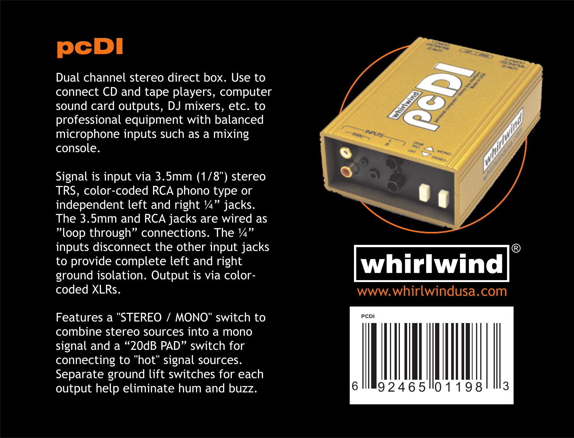

Dual channel stereo direct box. Use to connect CD and tape players, computer sound card outputs, DJ mixers, etc. to professional equipment with balanced microphone inputs such as a mixing console.

Signal is input via 3.5mm (1/8") stereo TRS, color-coded RCA phono type or independent left and right ¼" jacks. The 3.5mm and RCA jacks are wired as "loop through" connections. The ¼" inputs disconnect the other input jacks to provide complete left and right ground isolation. Output is via colorcoded XLRs.

Features a "STEREO / MONO" switch to combine stereo sources into a mono signal and a "20dB PAD" switch for connecting to "hot" signal sources. Separate ground lift switches for each output help eliminate hum and buzz.